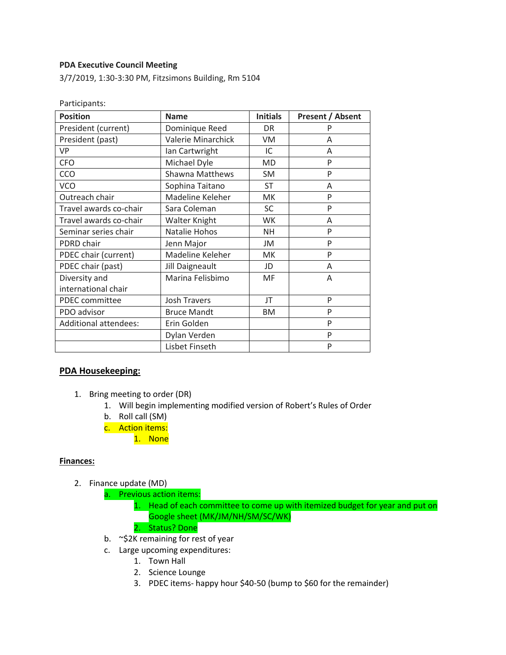### **PDA Executive Council Meeting**

Participants:

3/7/2019, 1:30-3:30 PM, Fitzsimons Building, Rm 5104

| <b>Position</b>              | <b>Name</b>               | <b>Initials</b> |                         |
|------------------------------|---------------------------|-----------------|-------------------------|
|                              |                           |                 | <b>Present / Absent</b> |
| President (current)          | Dominique Reed            | <b>DR</b>       | P                       |
| President (past)             | <b>Valerie Minarchick</b> | <b>VM</b>       | A                       |
| VP                           | Ian Cartwright            | IC              | A                       |
| <b>CFO</b>                   | Michael Dyle              | MD              | P                       |
| CCO                          | <b>Shawna Matthews</b>    | <b>SM</b>       | P                       |
| <b>VCO</b>                   | Sophina Taitano           | <b>ST</b>       | A                       |
| Outreach chair               | Madeline Keleher          | <b>MK</b>       | P                       |
| Travel awards co-chair       | Sara Coleman              | <b>SC</b>       | P                       |
| Travel awards co-chair       | Walter Knight             | WK.             | A                       |
| Seminar series chair         | Natalie Hohos             | <b>NH</b>       | P                       |
| PDRD chair                   | Jenn Major                | JM              | P                       |
| PDEC chair (current)         | Madeline Keleher          | МK              | P                       |
| PDEC chair (past)            | Jill Daigneault           | JD              | A                       |
| Diversity and                | Marina Felisbimo          | <b>MF</b>       | A                       |
| international chair          |                           |                 |                         |
| <b>PDEC</b> committee        | <b>Josh Travers</b>       | JT              | P                       |
| PDO advisor                  | <b>Bruce Mandt</b>        | ΒM              | P                       |
| <b>Additional attendees:</b> | Erin Golden               |                 | P                       |
|                              | Dylan Verden              |                 | P                       |
|                              | Lisbet Finseth            |                 | P                       |

### **PDA Housekeeping:**

- 1. Bring meeting to order (DR)
	- 1. Will begin implementing modified version of Robert's Rules of Order
	- b. Roll call (SM)
	- c. Action items:
		- 1. None

#### **Finances:**

- 2. Finance update (MD)
	- a. Previous action items:
		- 1. Head of each committee to come up with itemized budget for year and put on Google sheet (MK/JM/NH/SM/SC/WK)
		- 2. Status? Done
	- b. ~\$2K remaining for rest of year
	- c. Large upcoming expenditures:
		- 1. Town Hall
		- 2. Science Lounge
		- 3. PDEC items- happy hour \$40-50 (bump to \$60 for the remainder)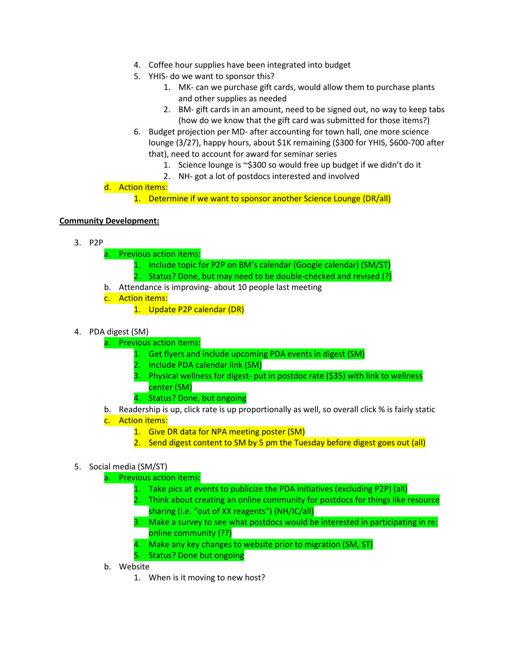- 4. Coffee hour supplies have been integrated into budget
- 5. YHIS- do we want to sponsor this?
	- 1. MK- can we purchase gift cards, would allow them to purchase plants and other supplies as needed
	- 2. BM- gift cards in an amount, need to be signed out, no way to keep tabs (how do we know that the gift card was submitted for those items?)
- 6. Budget projection per MD- after accounting for town hall, one more science lounge (3/27), happy hours, about \$1K remaining (\$300 for YHIS, \$600-700 after that), need to account for award for seminar series
	- 1. Science lounge is ~\$300 so would free up budget if we didn't do it
	- 2. NH- got a lot of postdocs interested and involved

# d. Action items:

1. Determine if we want to sponsor another Science Lounge (DR/all)

## **Community Development:**

- 3. P2P
	- a. Previous action items:
		- 1. Include topic for P2P on BM's calendar (Google calendar) (SM/ST) 2. Status? Done, but may need to be double-checked and revised (?)
	- b. Attendance is improving- about 10 people last meeting
	- c. Action items:
		- 1. Update P2P calendar (DR)
- 4. PDA digest (SM)
	- a. Previous action items:
		- 1. Get flyers and include upcoming PDA events in digest (SM)
		- 2. Include PDA calendar link (SM)
		- 3. Physical wellness for digest- put in postdoc rate (\$35) with link to wellness center (SM)
		- 4. Status? Done, but ongoing
	- b. Readership is up, click rate is up proportionally as well, so overall click % is fairly static
	- c. Action items:
		- 1. Give DR data for NPA meeting poster (SM)
		- 2. Send digest content to SM by 5 pm the Tuesday before digest goes out (all)

### 5. Social media (SM/ST)

- a. Previous action items:
	- 1. Take pics at events to publicize the PDA initiatives (excluding P2P) (all)
	- 2. Think about creating an online community for postdocs for things like resource sharing (i.e. "out of XX reagents") (NH/IC/all)
	- 3. Make a survey to see what postdocs would be interested in participating in re: online community (??)
	- 4. Make any key changes to website prior to migration (SM, ST)
	- 5. Status? Done but ongoing
- b. Website
	- 1. When is it moving to new host?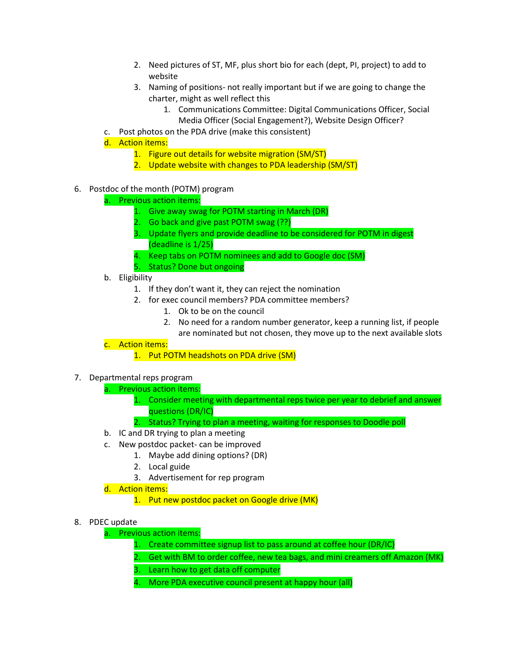- 2. Need pictures of ST, MF, plus short bio for each (dept, PI, project) to add to website
- 3. Naming of positions- not really important but if we are going to change the charter, might as well reflect this
	- 1. Communications Committee: Digital Communications Officer, Social Media Officer (Social Engagement?), Website Design Officer?
- c. Post photos on the PDA drive (make this consistent)
- d. Action items:
	- 1. Figure out details for website migration (SM/ST)
	- 2. Update website with changes to PDA leadership (SM/ST)
- 6. Postdoc of the month (POTM) program
	- a. Previous action items:
		- 1. Give away swag for POTM starting in March (DR)
		- 2. Go back and give past POTM swag (??)
		- 3. Update flyers and provide deadline to be considered for POTM in digest (deadline is 1/25)
		- 4. Keep tabs on POTM nominees and add to Google doc (SM)
		- 5. Status? Done but ongoing
	- b. Eligibility
		- 1. If they don't want it, they can reject the nomination
		- 2. for exec council members? PDA committee members?
			- 1. Ok to be on the council
			- 2. No need for a random number generator, keep a running list, if people
				- are nominated but not chosen, they move up to the next available slots
	- c. Action items:
		- 1. Put POTM headshots on PDA drive (SM)
- 7. Departmental reps program
	- a. Previous action items:
		- 1. Consider meeting with departmental reps twice per year to debrief and answer questions (DR/IC)
		- 2. Status? Trying to plan a meeting, waiting for responses to Doodle poll
		- b. IC and DR trying to plan a meeting
	- c. New postdoc packet- can be improved
		- 1. Maybe add dining options? (DR)
		- 2. Local guide
		- 3. Advertisement for rep program
	- d. Action items:
		- 1. Put new postdoc packet on Google drive (MK)
- 8. PDEC update
	- a. Previous action items:
		- 1. Create committee signup list to pass around at coffee hour (DR/IC)
		- 2. Get with BM to order coffee, new tea bags, and mini creamers off Amazon (MK)
		- 3. Learn how to get data off computer
		- 4. More PDA executive council present at happy hour (all)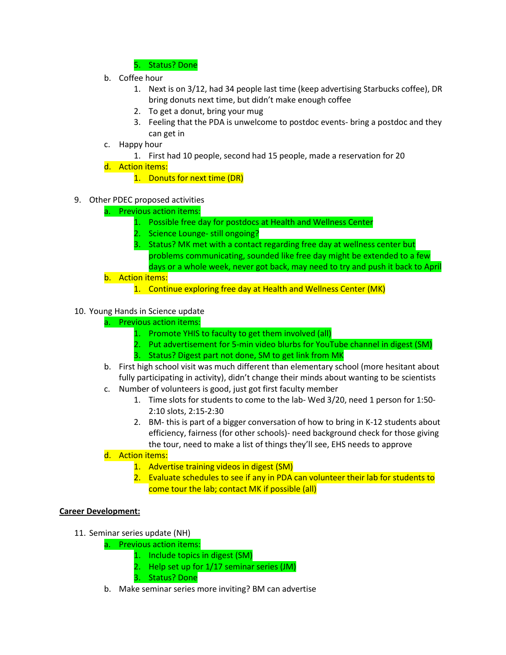5. Status? Done

- b. Coffee hour
	- 1. Next is on 3/12, had 34 people last time (keep advertising Starbucks coffee), DR bring donuts next time, but didn't make enough coffee
	- 2. To get a donut, bring your mug
	- 3. Feeling that the PDA is unwelcome to postdoc events- bring a postdoc and they can get in
- c. Happy hour
	- 1. First had 10 people, second had 15 people, made a reservation for 20
- d. Action items:
	- 1. Donuts for next time (DR)
- 9. Other PDEC proposed activities
	- a. Previous action items:
		- 1. Possible free day for postdocs at Health and Wellness Center
		- 2. Science Lounge- still ongoing?
		- 3. Status? MK met with a contact regarding free day at wellness center but problems communicating, sounded like free day might be extended to a few days or a whole week, never got back, may need to try and push it back to April
	- b. Action items:
		- 1. Continue exploring free day at Health and Wellness Center (MK)

### 10. Young Hands in Science update

- a. Previous action items:
	- 1. Promote YHIS to faculty to get them involved (all)
	- 2. Put advertisement for 5-min video blurbs for YouTube channel in digest (SM)
	- 3. Status? Digest part not done, SM to get link from MK
- b. First high school visit was much different than elementary school (more hesitant about fully participating in activity), didn't change their minds about wanting to be scientists
- c. Number of volunteers is good, just got first faculty member
	- 1. Time slots for students to come to the lab- Wed 3/20, need 1 person for 1:50- 2:10 slots, 2:15-2:30
	- 2. BM- this is part of a bigger conversation of how to bring in K-12 students about efficiency, fairness (for other schools)- need background check for those giving the tour, need to make a list of things they'll see, EHS needs to approve
- d. Action items:
	- 1. Advertise training videos in digest (SM)
	- 2. Evaluate schedules to see if any in PDA can volunteer their lab for students to come tour the lab; contact MK if possible (all)

### **Career Development:**

- 11. Seminar series update (NH)
	- a. Previous action items:
		- 1. Include topics in digest (SM)
		- 2. Help set up for 1/17 seminar series (JM)
		- 3. Status? Done
	- b. Make seminar series more inviting? BM can advertise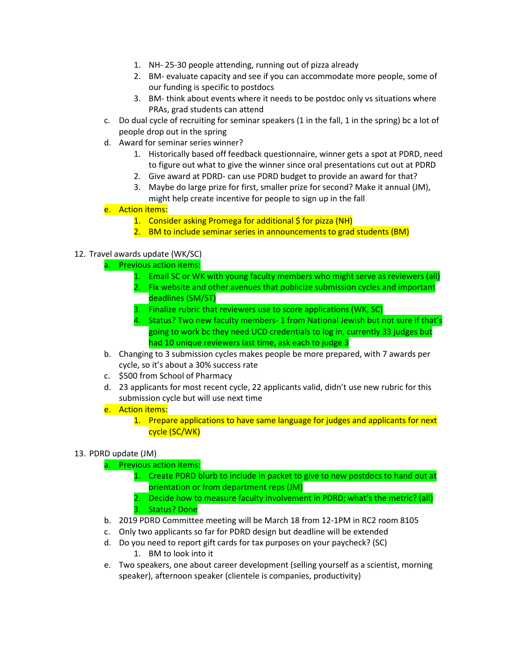- 1. NH- 25-30 people attending, running out of pizza already
- 2. BM- evaluate capacity and see if you can accommodate more people, some of our funding is specific to postdocs
- 3. BM- think about events where it needs to be postdoc only vs situations where PRAs, grad students can attend
- c. Do dual cycle of recruiting for seminar speakers (1 in the fall, 1 in the spring) bc a lot of people drop out in the spring
- d. Award for seminar series winner?
	- 1. Historically based off feedback questionnaire, winner gets a spot at PDRD, need to figure out what to give the winner since oral presentations cut out at PDRD
	- 2. Give award at PDRD- can use PDRD budget to provide an award for that?
	- 3. Maybe do large prize for first, smaller prize for second? Make it annual (JM), might help create incentive for people to sign up in the fall
- e. Action items:
	- 1. Consider asking Promega for additional \$ for pizza (NH)
	- 2. BM to include seminar series in announcements to grad students (BM)

## 12. Travel awards update (WK/SC)

- a. Previous action items:
	- 1. Email SC or WK with young faculty members who might serve as reviewers (all)
	- 2. Fix website and other avenues that publicize submission cycles and important deadlines (SM/ST)
	- 3. Finalize rubric that reviewers use to score applications (WK, SC)
	- 4. Status? Two new faculty members- 1 from National Jewish but not sure if that's going to work bc they need UCD credentials to log in, currently 33 judges but had 10 unique reviewers last time, ask each to judge 3
- b. Changing to 3 submission cycles makes people be more prepared, with 7 awards per cycle, so it's about a 30% success rate
- c. \$500 from School of Pharmacy
- d. 23 applicants for most recent cycle, 22 applicants valid, didn't use new rubric for this submission cycle but will use next time
- e. Action items:
	- 1. Prepare applications to have same language for judges and applicants for next cycle (SC/WK)

### 13. PDRD update (JM)

- a. Previous action items:
	- 1. Create PDRD blurb to include in packet to give to new postdocs to hand out at orientation or from department reps (JM)
	- 2. Decide how to measure faculty involvement in PDRD; what's the metric? (all) 3. Status? Done
- b. 2019 PDRD Committee meeting will be March 18 from 12-1PM in RC2 room 8105
- c. Only two applicants so far for PDRD design but deadline will be extended
- d. Do you need to report gift cards for tax purposes on your paycheck? (SC)
	- 1. BM to look into it
- e. Two speakers, one about career development (selling yourself as a scientist, morning speaker), afternoon speaker (clientele is companies, productivity)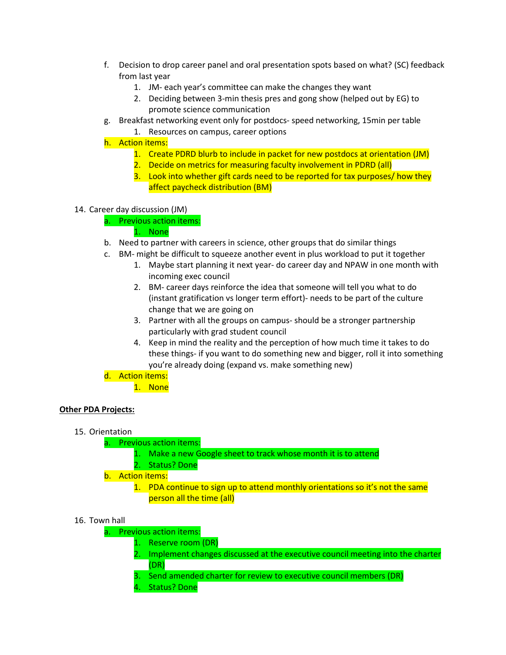- f. Decision to drop career panel and oral presentation spots based on what? (SC) feedback from last year
	- 1. JM- each year's committee can make the changes they want
	- 2. Deciding between 3-min thesis pres and gong show (helped out by EG) to promote science communication
- g. Breakfast networking event only for postdocs- speed networking, 15min per table
	- 1. Resources on campus, career options
- h. Action items:
	- 1. Create PDRD blurb to include in packet for new postdocs at orientation (JM)
	- 2. Decide on metrics for measuring faculty involvement in PDRD (all)
	- 3. Look into whether gift cards need to be reported for tax purposes/ how they affect paycheck distribution (BM)

### 14. Career day discussion (JM)

a. Previous action items:

## 1. None

- b. Need to partner with careers in science, other groups that do similar things
- c. BM- might be difficult to squeeze another event in plus workload to put it together
	- 1. Maybe start planning it next year- do career day and NPAW in one month with incoming exec council
	- 2. BM- career days reinforce the idea that someone will tell you what to do (instant gratification vs longer term effort)- needs to be part of the culture change that we are going on
	- 3. Partner with all the groups on campus- should be a stronger partnership particularly with grad student council
	- 4. Keep in mind the reality and the perception of how much time it takes to do these things- if you want to do something new and bigger, roll it into something you're already doing (expand vs. make something new)

# d. Action items:

1. None

### **Other PDA Projects:**

15. Orientation

# a. Previous action items:

1. Make a new Google sheet to track whose month it is to attend

2. Status? Done

- b. Action items:
	- 1. PDA continue to sign up to attend monthly orientations so it's not the same person all the time (all)

# 16. Town hall

- a. Previous action items:
	- 1. Reserve room (DR)
		- 2. Implement changes discussed at the executive council meeting into the charter (DR)
		- 3. Send amended charter for review to executive council members (DR)
		- 4. Status? Done